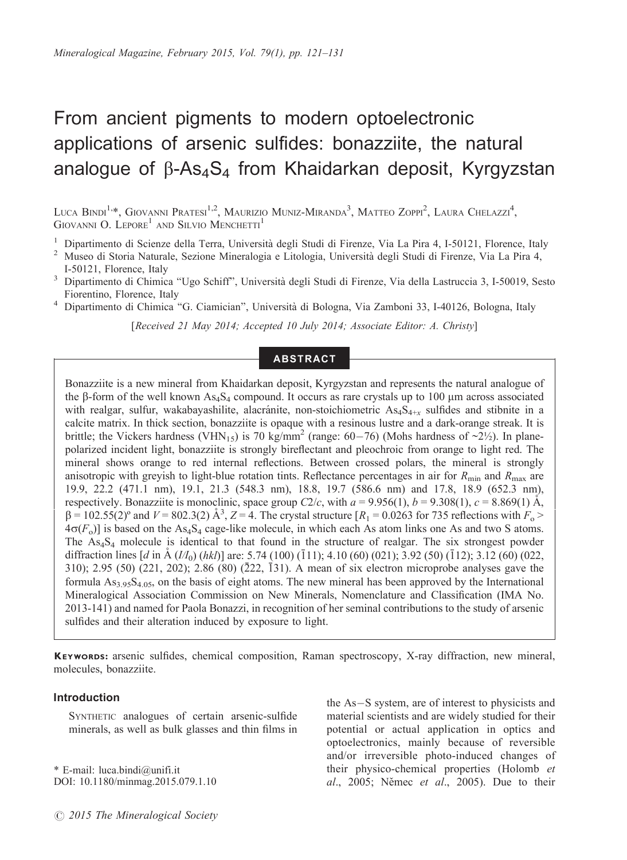# From ancient pigments to modern optoelectronic applications of arsenic sulfides: bonazziite, the natural analogue of  $\beta$ -As<sub>4</sub>S<sub>4</sub> from Khaidarkan deposit, Kyrgyzstan

Luca Bindi<sup>1,</sup>\*, Giovanni Pratesi<sup>1,2</sup>, Maurizio Muniz-Miranda<sup>3</sup>, Matteo Zoppi<sup>2</sup>, Laura Chelazzi<sup>4</sup>, GIOVANNI O. LEPORE<sup>1</sup> AND SILVIO MENCHETTI<sup>1</sup>

- 
- <sup>1</sup> Dipartimento di Scienze della Terra, Università degli Studi di Firenze, Via La Pira 4, I-50121, Florence, Italy  $^2$  Museo di Storia Naturale, Sezione Mineralogia e Litologia, Università degli Studi di Firenze, Via La I-50121, Florence, Italy <sup>3</sup> Dipartimento di Chimica ''Ugo Schiff'', Universita` degli Studi di Firenze, Via della Lastruccia 3, I-50019, Sesto
- Fiorentino, Florence, Italy<br>Dipartimento di Chimica "G. Ciamician", Università di Bologna, Via Zamboni 33, I-40126, Bologna, Italy
- 

[Received 21 May 2014; Accepted 10 July 2014; Associate Editor: A. Christy]

## ABSTRACT

Bonazziite is a new mineral from Khaidarkan deposit, Kyrgyzstan and represents the natural analogue of the  $\beta$ -form of the well known As<sub>4</sub>S<sub>4</sub> compound. It occurs as rare crystals up to 100  $\mu$ m across associated with realgar, sulfur, wakabayashilite, alacranite, non-stoichiometric  $As_4S_{4+x}$  sulfides and stibnite in a calcite matrix. In thick section, bonazziite is opaque with a resinous lustre and a dark-orange streak. It is brittle; the Vickers hardness (VHN<sub>15</sub>) is 70 kg/mm<sup>2</sup> (range: 60–76) (Mohs hardness of  $\sim$ 2 $\frac{1}{2}$ ). In planepolarized incident light, bonazziite is strongly bireflectant and pleochroic from orange to light red. The mineral shows orange to red internal reflections. Between crossed polars, the mineral is strongly anisotropic with greyish to light-blue rotation tints. Reflectance percentages in air for  $R_{\text{min}}$  and  $R_{\text{max}}$  are 19.9, 22.2 (471.1 nm), 19.1, 21.3 (548.3 nm), 18.8, 19.7 (586.6 nm) and 17.8, 18.9 (652.3 nm), respectively. Bonazziite is monoclinic, space group  $C_2/c$ , with  $a = 9.956(1)$ ,  $b = 9.308(1)$ ,  $c = 8.869(1)$  Å,  $\beta = 102.55(2)$ <sup>o</sup> and  $V = 802.3(2)$   $\AA^3$ ,  $Z = 4$ . The crystal structure  $[R_1 = 0.0263$  for 735 reflections with  $F_0$  >  $4\sigma(F_0)$ ] is based on the As<sub>4</sub>S<sub>4</sub> cage-like molecule, in which each As atom links one As and two S atoms. The As<sub>4</sub>S<sub>4</sub> molecule is identical to that found in the structure of realgar. The six strongest powder diffraction lines  $[d \text{ in } A (II_0) (h k l)]$  are: 5.74 (100) (111); 4.10 (60) (021); 3.92 (50) (112); 3.12 (60) (022,  $310$ ;  $2.95$  (50) ( $221$ ,  $202$ );  $2.86$  ( $80$ ) ( $222$ ,  $\overline{1}31$ ). A mean of six electron microprobe analyses gave the formula  $As<sub>3.95</sub>S<sub>4.05</sub>$ , on the basis of eight atoms. The new mineral has been approved by the International Mineralogical Association Commission on New Minerals, Nomenclature and Classification (IMA No. 2013-141) and named for Paola Bonazzi, in recognition of her seminal contributions to the study of arsenic sulfides and their alteration induced by exposure to light.

KEYWORDS: arsenic sulfides, chemical composition, Raman spectroscopy, X-ray diffraction, new mineral, molecules, bonazziite.

## Introduction

SYNTHETIC analogues of certain arsenic-sulfide minerals, as well as bulk glasses and thin films in

\* E-mail: luca.bindi@unifi.it DOI: 10.1180/minmag.2015.079.1.10

the As-S system, are of interest to physicists and material scientists and are widely studied for their potential or actual application in optics and optoelectronics, mainly because of reversible and/or irreversible photo-induced changes of their physico-chemical properties (Holomb et  $al., 2005;$  Němec et  $al., 2005$ ). Due to their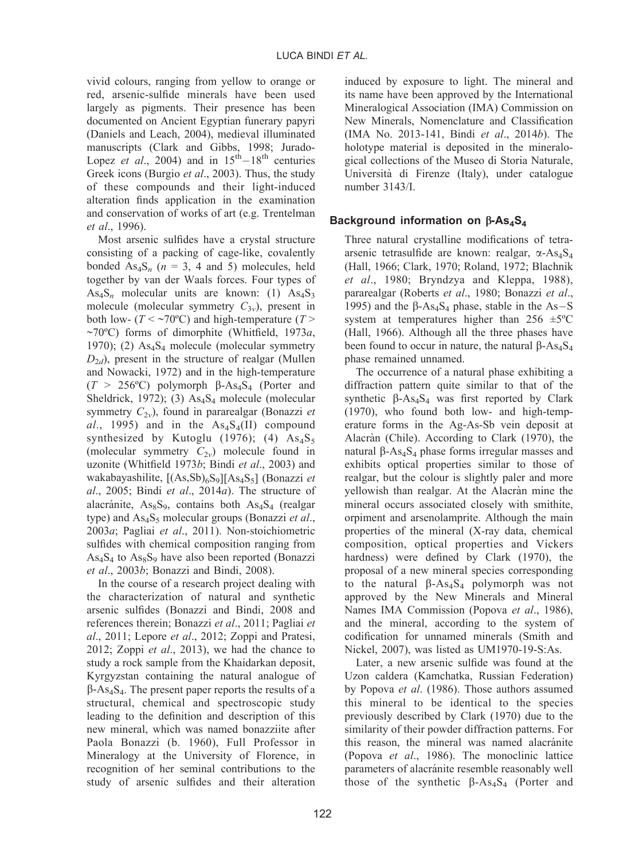vivid colours, ranging from yellow to orange or red, arsenic-sulfide minerals have been used largely as pigments. Their presence has been documented on Ancient Egyptian funerary papyri (Daniels and Leach, 2004), medieval illuminated manuscripts (Clark and Gibbs, 1998; Jurado-Lopez *et al.*, 2004) and in  $15<sup>th</sup> - 18<sup>th</sup>$  centuries Greek icons (Burgio et al., 2003). Thus, the study of these compounds and their light-induced alteration finds application in the examination and conservation of works of art (e.g. Trentelman et al., 1996).

Most arsenic sulfides have a crystal structure consisting of a packing of cage-like, covalently bonded  $As_4S_n$  ( $n = 3$ , 4 and 5) molecules, held together by van der Waals forces. Four types of  $As<sub>4</sub>S<sub>n</sub>$  molecular units are known: (1)  $As<sub>4</sub>S<sub>3</sub>$ molecule (molecular symmetry  $C_{3v}$ ), present in both low- ( $T < \sim 70^{\circ}$ C) and high-temperature ( $T >$ ~70°C) forms of dimorphite (Whitfield, 1973a, 1970); (2)  $As<sub>4</sub>S<sub>4</sub>$  molecule (molecular symmetry  $D_{2d}$ ), present in the structure of realgar (Mullen and Nowacki, 1972) and in the high-temperature  $(T > 256$ °C) polymorph  $\beta$ -As<sub>4</sub>S<sub>4</sub> (Porter and Sheldrick, 1972); (3)  $As<sub>4</sub>S<sub>4</sub>$  molecule (molecular symmetry  $C_{2v}$ ), found in pararealgar (Bonazzi et al., 1995) and in the  $\text{As}_4\text{S}_4(\text{II})$  compound synthesized by Kutoglu (1976); (4)  $As<sub>4</sub>S<sub>5</sub>$ (molecular symmetry  $C_{2v}$ ) molecule found in uzonite (Whitfield 1973b; Bindi et al., 2003) and wakabayashilite,  $[(As, Sb)_{6}S_{9}][As_{4}S_{5}]$  (Bonazzi et al., 2005; Bindi et al., 2014a). The structure of alacránite,  $\text{As}_8\text{S}_9$ , contains both  $\text{As}_4\text{S}_4$  (realgar type) and  $As<sub>4</sub>S<sub>5</sub>$  molecular groups (Bonazzi et al., 2003a; Pagliai et al., 2011). Non-stoichiometric sulfides with chemical composition ranging from  $As<sub>4</sub>S<sub>4</sub>$  to  $As<sub>8</sub>S<sub>9</sub>$  have also been reported (Bonazzi et al., 2003b; Bonazzi and Bindi, 2008).

In the course of a research project dealing with the characterization of natural and synthetic arsenic sulfides (Bonazzi and Bindi, 2008 and references therein; Bonazzi et al., 2011; Pagliai et al., 2011; Lepore et al., 2012; Zoppi and Pratesi, 2012; Zoppi *et al.*, 2013), we had the chance to study a rock sample from the Khaidarkan deposit, Kyrgyzstan containing the natural analogue of  $\beta$ -As<sub>4</sub>S<sub>4</sub>. The present paper reports the results of a structural, chemical and spectroscopic study leading to the definition and description of this new mineral, which was named bonazziite after Paola Bonazzi (b. 1960), Full Professor in Mineralogy at the University of Florence, in recognition of her seminal contributions to the study of arsenic sulfides and their alteration induced by exposure to light. The mineral and its name have been approved by the International Mineralogical Association (IMA) Commission on New Minerals, Nomenclature and Classification (IMA No. 2013-141, Bindi et al., 2014b). The holotype material is deposited in the mineralogical collections of the Museo di Storia Naturale, Universita` di Firenze (Italy), under catalogue number 3143/I.

## Background information on  $\beta$ -As<sub>4</sub>S<sub>4</sub>

Three natural crystalline modifications of tetraarsenic tetrasulfide are known: realgar,  $\alpha$ -As<sub>4</sub>S<sub>4</sub> (Hall, 1966; Clark, 1970; Roland, 1972; Blachnik et al., 1980; Bryndzya and Kleppa, 1988), pararealgar (Roberts et al., 1980; Bonazzi et al., 1995) and the  $\beta$ -As<sub>4</sub>S<sub>4</sub> phase, stable in the As-S system at temperatures higher than  $256 \pm 5^{\circ}$ C (Hall, 1966). Although all the three phases have been found to occur in nature, the natural  $\beta$ -As<sub>4</sub>S<sub>4</sub> phase remained unnamed.

The occurrence of a natural phase exhibiting a diffraction pattern quite similar to that of the synthetic  $\beta$ -As<sub>4</sub>S<sub>4</sub> was first reported by Clark (1970), who found both low- and high-temperature forms in the Ag-As-Sb vein deposit at Alacràn (Chile). According to Clark (1970), the natural β-As<sub>4</sub>S<sub>4</sub> phase forms irregular masses and exhibits optical properties similar to those of realgar, but the colour is slightly paler and more yellowish than realgar. At the Alacran mine the mineral occurs associated closely with smithite, orpiment and arsenolamprite. Although the main properties of the mineral (X-ray data, chemical composition, optical properties and Vickers hardness) were defined by Clark (1970), the proposal of a new mineral species corresponding to the natural  $\beta$ -As<sub>4</sub>S<sub>4</sub> polymorph was not approved by the New Minerals and Mineral Names IMA Commission (Popova et al., 1986), and the mineral, according to the system of codification for unnamed minerals (Smith and Nickel, 2007), was listed as UM1970-19-S:As.

Later, a new arsenic sulfide was found at the Uzon caldera (Kamchatka, Russian Federation) by Popova et al. (1986). Those authors assumed this mineral to be identical to the species previously described by Clark (1970) due to the similarity of their powder diffraction patterns. For this reason, the mineral was named alacránite (Popova et al., 1986). The monoclinic lattice parameters of alacránite resemble reasonably well those of the synthetic  $\beta$ -As<sub>4</sub>S<sub>4</sub> (Porter and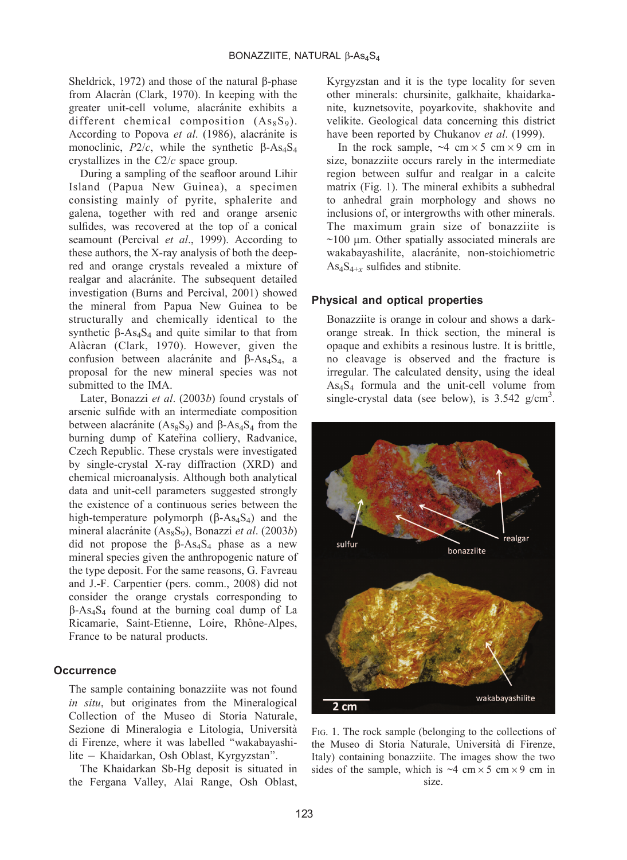Sheldrick, 1972) and those of the natural  $\beta$ -phase from Alacràn (Clark, 1970). In keeping with the greater unit-cell volume, alacránite exhibits a different chemical composition  $(As_8S_9)$ . According to Popova et al. (1986), alacránite is monoclinic,  $P2/c$ , while the synthetic  $\beta$ -As<sub>4</sub>S<sub>4</sub> crystallizes in the C2/c space group.

During a sampling of the seafloor around Lihir Island (Papua New Guinea), a specimen consisting mainly of pyrite, sphalerite and galena, together with red and orange arsenic sulfides, was recovered at the top of a conical seamount (Percival et al., 1999). According to these authors, the X-ray analysis of both the deepred and orange crystals revealed a mixture of realgar and alacránite. The subsequent detailed investigation (Burns and Percival, 2001) showed the mineral from Papua New Guinea to be structurally and chemically identical to the synthetic  $\beta$ -As<sub>4</sub>S<sub>4</sub> and quite similar to that from Alàcran (Clark, 1970). However, given the confusion between alacránite and  $\beta$ -As<sub>4</sub>S<sub>4</sub>, a proposal for the new mineral species was not submitted to the IMA.

Later, Bonazzi et al. (2003b) found crystals of arsenic sulfide with an intermediate composition between alacránite  $(As_8S_9)$  and  $\beta$ -As<sub>4</sub>S<sub>4</sub> from the burning dump of Kateřina colliery, Radvanice, Czech Republic. These crystals were investigated by single-crystal X-ray diffraction (XRD) and chemical microanalysis. Although both analytical data and unit-cell parameters suggested strongly the existence of a continuous series between the high-temperature polymorph  $(\beta$ -As<sub>4</sub>S<sub>4</sub>) and the mineral alacránite (As $_8$ S<sub>9</sub>), Bonazzi *et al.* (2003*b*) did not propose the  $\beta$ -As<sub>4</sub>S<sub>4</sub> phase as a new mineral species given the anthropogenic nature of the type deposit. For the same reasons, G. Favreau and J.-F. Carpentier (pers. comm., 2008) did not consider the orange crystals corresponding to  $\beta$ -As<sub>4</sub>S<sub>4</sub> found at the burning coal dump of La Ricamarie, Saint-Etienne, Loire, Rhône-Alpes, France to be natural products.

## **Occurrence**

The sample containing bonazziite was not found in situ, but originates from the Mineralogical Collection of the Museo di Storia Naturale, Sezione di Mineralogia e Litologia, Universita` di Firenze, where it was labelled ''wakabayashilite - Khaidarkan, Osh Oblast, Kyrgyzstan''.

The Khaidarkan Sb-Hg deposit is situated in the Fergana Valley, Alai Range, Osh Oblast,

Kyrgyzstan and it is the type locality for seven other minerals: chursinite, galkhaite, khaidarkanite, kuznetsovite, poyarkovite, shakhovite and velikite. Geological data concerning this district have been reported by Chukanov et al. (1999).

In the rock sample,  $\sim$ 4 cm  $\times$  5 cm  $\times$  9 cm in size, bonazziite occurs rarely in the intermediate region between sulfur and realgar in a calcite matrix (Fig. 1). The mineral exhibits a subhedral to anhedral grain morphology and shows no inclusions of, or intergrowths with other minerals. The maximum grain size of bonazziite is  $\sim$ 100  $\mu$ m. Other spatially associated minerals are wakabayashilite, alacránite, non-stoichiometric  $As<sub>4</sub>S<sub>4+r</sub>$  sulfides and stibnite.

## Physical and optical properties

Bonazziite is orange in colour and shows a darkorange streak. In thick section, the mineral is opaque and exhibits a resinous lustre. It is brittle, no cleavage is observed and the fracture is irregular. The calculated density, using the ideal As4S4 formula and the unit-cell volume from single-crystal data (see below), is  $3.542$  g/cm<sup>3</sup>.



FIG. 1. The rock sample (belonging to the collections of the Museo di Storia Naturale, Universita` di Firenze, Italy) containing bonazziite. The images show the two sides of the sample, which is  $\sim$ 4 cm  $\times$  5 cm  $\times$  9 cm in size.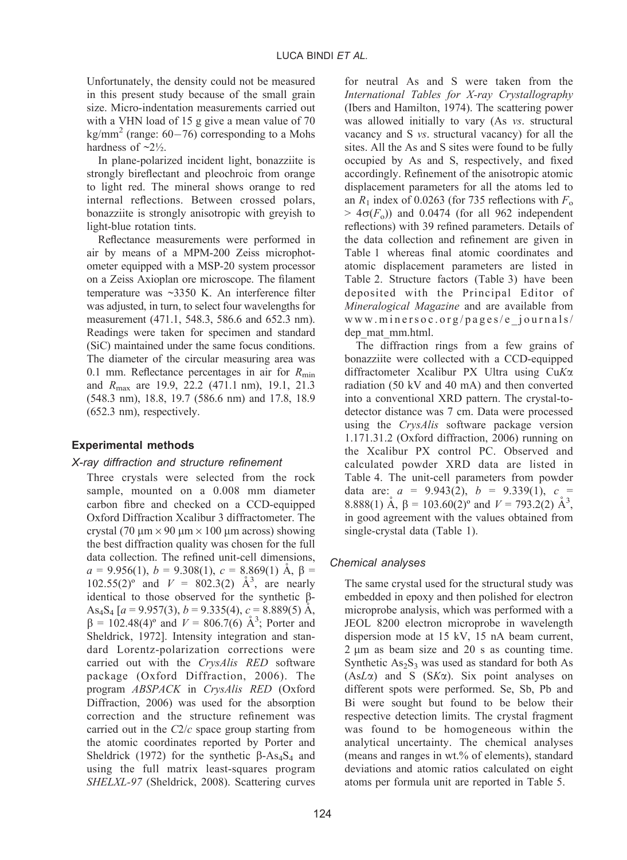Unfortunately, the density could not be measured in this present study because of the small grain size. Micro-indentation measurements carried out with a VHN load of 15 g give a mean value of 70  $\text{kg/mm}^2$  (range: 60–76) corresponding to a Mohs hardness of  $\sim 2\frac{1}{2}$ .

In plane-polarized incident light, bonazziite is strongly bireflectant and pleochroic from orange to light red. The mineral shows orange to red internal reflections. Between crossed polars, bonazziite is strongly anisotropic with greyish to light-blue rotation tints.

Reflectance measurements were performed in air by means of a MPM-200 Zeiss microphotometer equipped with a MSP-20 system processor on a Zeiss Axioplan ore microscope. The filament temperature was ~3350 K. An interference filter was adjusted, in turn, to select four wavelengths for measurement (471.1, 548.3, 586.6 and 652.3 nm). Readings were taken for specimen and standard (SiC) maintained under the same focus conditions. The diameter of the circular measuring area was 0.1 mm. Reflectance percentages in air for  $R_{\text{min}}$ and Rmax are 19.9, 22.2 (471.1 nm), 19.1, 21.3 (548.3 nm), 18.8, 19.7 (586.6 nm) and 17.8, 18.9 (652.3 nm), respectively.

## Experimental methods

## X-ray diffraction and structure refinement

Three crystals were selected from the rock sample, mounted on a 0.008 mm diameter carbon fibre and checked on a CCD-equipped Oxford Diffraction Xcalibur 3 diffractometer. The crystal (70  $\mu$ m  $\times$  90  $\mu$ m  $\times$  100  $\mu$ m across) showing the best diffraction quality was chosen for the full data collection. The refined unit-cell dimensions,  $a = 9.956(1), b = 9.308(1), c = 8.869(1)$  A,  $\beta =$  $102.55(2)$ <sup>o</sup> and  $V = 802.3(2)$   $\AA^3$ , are nearly identical to those observed for the synthetic b-As<sub>4</sub>S<sub>4</sub> [a = 9.957(3), b = 9.335(4), c = 8.889(5) A,  $\beta = 102.48(4)$ ° and  $V = 806.7(6)$  Å<sup>3</sup>; Porter and Sheldrick, 1972]. Intensity integration and standard Lorentz-polarization corrections were carried out with the CrysAlis RED software package (Oxford Diffraction, 2006). The program ABSPACK in CrysAlis RED (Oxford Diffraction, 2006) was used for the absorption correction and the structure refinement was carried out in the  $C2/c$  space group starting from the atomic coordinates reported by Porter and Sheldrick (1972) for the synthetic  $\beta$ -As<sub>4</sub>S<sub>4</sub> and using the full matrix least-squares program SHELXL-97 (Sheldrick, 2008). Scattering curves

for neutral As and S were taken from the International Tables for X-ray Crystallography (Ibers and Hamilton, 1974). The scattering power was allowed initially to vary (As vs. structural vacancy and S vs. structural vacancy) for all the sites. All the As and S sites were found to be fully occupied by As and S, respectively, and fixed accordingly. Refinement of the anisotropic atomic displacement parameters for all the atoms led to an  $R_1$  index of 0.0263 (for 735 reflections with  $F_0$ )  $> 4\sigma(F_0)$ ) and 0.0474 (for all 962 independent reflections) with 39 refined parameters. Details of the data collection and refinement are given in Table 1 whereas final atomic coordinates and atomic displacement parameters are listed in Table 2. Structure factors (Table 3) have been deposited with the Principal Editor of Mineralogical Magazine and are available from www.minersoc.org/pages/e\_journals/ dep\_mat\_mm.html.

The diffraction rings from a few grains of bonazziite were collected with a CCD-equipped diffractometer Xcalibur PX Ultra using CuKa radiation (50 kV and 40 mA) and then converted into a conventional XRD pattern. The crystal-todetector distance was 7 cm. Data were processed using the *CrysAlis* software package version 1.171.31.2 (Oxford diffraction, 2006) running on the Xcalibur PX control PC. Observed and calculated powder XRD data are listed in Table 4. The unit-cell parameters from powder data are:  $a = 9.943(2)$ ,  $b = 9.339(1)$ ,  $c =$ 8.888(1) Å,  $\beta = 103.60(2)$ ° and  $V = 793.2(2)$  Å<sup>3</sup>, in good agreement with the values obtained from single-crystal data (Table 1).

## Chemical analyses

The same crystal used for the structural study was embedded in epoxy and then polished for electron microprobe analysis, which was performed with a JEOL 8200 electron microprobe in wavelength dispersion mode at 15 kV, 15 nA beam current,  $2 \mu m$  as beam size and  $20 \text{ s}$  as counting time. Synthetic  $As_2S_3$  was used as standard for both As  $(AsL\alpha)$  and S  $(SK\alpha)$ . Six point analyses on different spots were performed. Se, Sb, Pb and Bi were sought but found to be below their respective detection limits. The crystal fragment was found to be homogeneous within the analytical uncertainty. The chemical analyses (means and ranges in wt.% of elements), standard deviations and atomic ratios calculated on eight atoms per formula unit are reported in Table 5.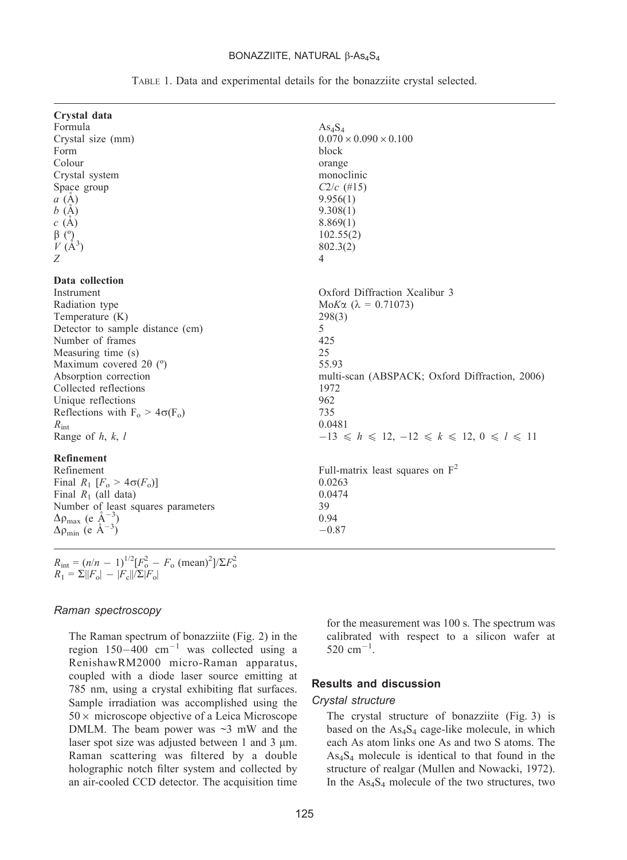#### BONAZZIITE, NATURAL  $\beta$ -As<sub>4</sub>S<sub>4</sub>

| Crystal data                                                                             |                                                      |
|------------------------------------------------------------------------------------------|------------------------------------------------------|
| Formula                                                                                  | As <sub>4</sub> S <sub>4</sub>                       |
| Crystal size (mm)                                                                        | $0.070 \times 0.090 \times 0.100$                    |
| Form                                                                                     | block                                                |
| Colour                                                                                   | orange                                               |
| Crystal system                                                                           | monoclinic                                           |
| Space group                                                                              | $C2/c$ (#15)                                         |
| a(A)                                                                                     | 9.956(1)                                             |
| b(A)                                                                                     | 9.308(1)                                             |
| c(A)                                                                                     | 8.869(1)                                             |
| $\beta$ (°)                                                                              | 102.55(2)                                            |
| $V(\AA^3)$                                                                               | 802.3(2)                                             |
| Ζ                                                                                        | $\overline{4}$                                       |
| Data collection                                                                          |                                                      |
| Instrument                                                                               | Oxford Diffraction Xcalibur 3                        |
| Radiation type                                                                           | MoK $\alpha$ ( $\lambda = 0.71073$ )                 |
| Temperature $(K)$                                                                        | 298(3)                                               |
| Detector to sample distance (cm)                                                         | 5                                                    |
| Number of frames                                                                         | 425                                                  |
| Measuring time (s)                                                                       | 25                                                   |
| Maximum covered 2 $\theta$ ( $\degree$ )                                                 | 55.93                                                |
| Absorption correction                                                                    | multi-scan (ABSPACK; Oxford Diffraction, 2006)       |
| Collected reflections                                                                    | 1972                                                 |
| Unique reflections                                                                       | 962                                                  |
| Reflections with $F_0 > 4\sigma(F_0)$                                                    | 735                                                  |
| $R_{\text{int}}$                                                                         | 0.0481                                               |
| Range of $h, k, l$                                                                       | $-13 \le h \le 12, -12 \le k \le 12, 0 \le l \le 11$ |
| Refinement                                                                               |                                                      |
| Refinement                                                                               | Full-matrix least squares on $F^2$                   |
| Final $R_1$ [ $F_0 > 4\sigma(F_0)$ ]                                                     | 0.0263                                               |
| Final $R_1$ (all data)                                                                   | 0.0474                                               |
| Number of least squares parameters                                                       | 39                                                   |
|                                                                                          | 0.94                                                 |
| $\Delta \rho_{\text{max}}$ (e $\AA^{-3}$ )<br>$\Delta \rho_{\text{min}}$ (e $\AA^{-3}$ ) | $-0.87$                                              |
|                                                                                          |                                                      |

TABLE 1. Data and experimental details for the bonazziite crystal selected.

$$
R_{\text{int}} = (n/n - 1)^{1/2} [F_{\text{o}}^2 - F_{\text{o}} \text{ (mean)}^2]/\Sigma F_{\text{o}}^2
$$
  

$$
R_1 = \Sigma ||F_{\text{o}}| - |F_{\text{c}}||/\Sigma |F_{\text{o}}|
$$

#### Raman spectroscopy

The Raman spectrum of bonazziite (Fig. 2) in the region  $150-400$  cm<sup>-1</sup> was collected using a RenishawRM2000 micro-Raman apparatus, coupled with a diode laser source emitting at 785 nm, using a crystal exhibiting flat surfaces. Sample irradiation was accomplished using the  $50 \times$  microscope objective of a Leica Microscope DMLM. The beam power was  $\sim$ 3 mW and the laser spot size was adjusted between 1 and 3  $\mu$ m. Raman scattering was filtered by a double holographic notch filter system and collected by an air-cooled CCD detector. The acquisition time

for the measurement was 100 s. The spectrum was calibrated with respect to a silicon wafer at 520  $cm^{-1}$ .

## Results and discussion

#### Crystal structure

The crystal structure of bonazziite (Fig. 3) is based on the As<sub>4</sub>S<sub>4</sub> cage-like molecule, in which each As atom links one As and two S atoms. The As4S4 molecule is identical to that found in the structure of realgar (Mullen and Nowacki, 1972). In the As4S4 molecule of the two structures, two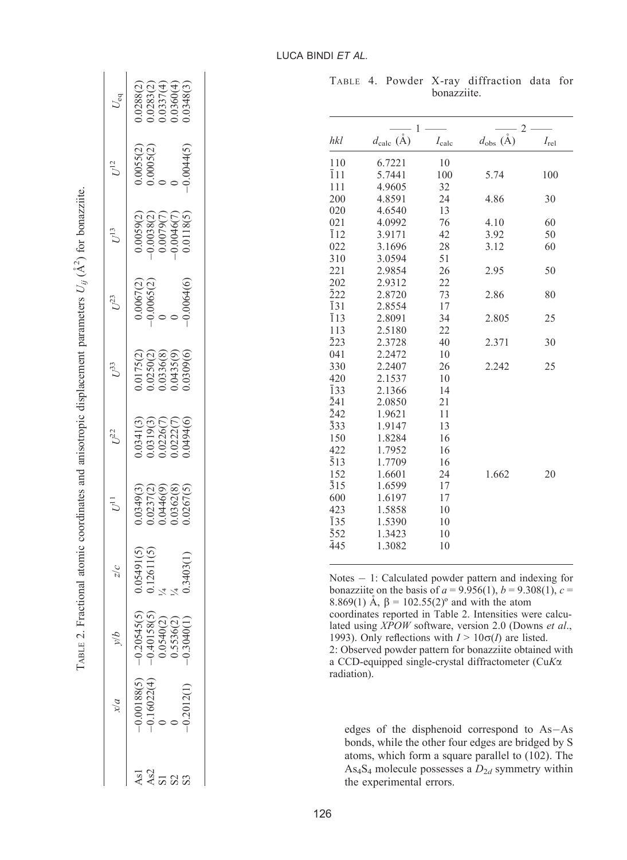| $U_{\rm eq}$     | $0.0288(2)$<br>$0.0283(2)$<br>$0.0337(4)$<br>$0.0360(4)$<br>$0.0348(3)$                                |
|------------------|--------------------------------------------------------------------------------------------------------|
| $U^{12}$         | $0.0055(2)$<br>0.0005(2)<br>0<br>0.0044(5                                                              |
| $U^{13}$         | $\begin{array}{l} 0.0059(2)\\ -0.0038(2)\\ 0.0079(7)\\ 0.0079(7)\\ -0.0046(7)\\ 0.0118(5) \end{array}$ |
| $U^{23}$         | $0.0067(2) \ 0.0065(2) \ 0 \ 0 \ 0$<br>0.0064(6                                                        |
| $U^{53}$         | 0175(2)<br>0.0250(2)<br>0.0336(8)<br>0.0435(9)<br>0.0309(6)                                            |
| $U^{22}$         | 0341(3)<br>0.0319(3)<br>0.0226(7)<br>0.0222(7)<br>0.0494(6)                                            |
|                  | 0349(3)<br>0.0237(2)<br>0.0446(9)<br>0.0362(8)<br>0.0267(5)                                            |
| $\frac{1}{2}$    | $0.05491(5)$<br>0.12611(5)<br>$\frac{1}{4}$<br>.3403(                                                  |
|                  | $\begin{array}{r} -0.20545(5) \\ -0.40158(5) \\ 0.0540(2) \\ 0.5536(2) \\ -0.3040(1) \end{array}$      |
| $\frac{\chi}{a}$ | 0.00188(5)<br>0.16022(4)<br>0<br>0<br>1,2012                                                           |
|                  |                                                                                                        |

TABLE 2. Fractional atomic coordinates and anisotropic displacement parameters  $U_{ij}$  (A

TABLE 2. Fractional atomic coordinates and anisotropic displacement parameters  $U_{ij}(\hat{A}^2)$  for bonazziite.

 $A^2$ ) for bonazziite.

TABLE 4. Powder X-ray diffraction data for bonazziite.

|                  | 1                             |                | $\overline{2}$               |           |
|------------------|-------------------------------|----------------|------------------------------|-----------|
| hkl              | $d_{\text{calc}}(\text{\AA})$ | $I_{\rm calc}$ | $d_{\text{obs}}(\text{\AA})$ | $I_{rel}$ |
| 110              | 6.7221                        | 10             |                              |           |
| $\overline{1}11$ | 5.7441                        | 100            | 5.74                         | 100       |
| 111              | 4.9605                        | 32             |                              |           |
| 200              | 4.8591                        | 24             | 4.86                         | 30        |
| 020              | 4.6540                        | 13             |                              |           |
| 021              | 4.0992                        | 76             | 4.10                         | 60        |
| $\overline{1}12$ | 3.9171                        | 42             | 3.92                         | 50        |
| 022              | 3.1696                        | 28             | 3.12                         | 60        |
| 310              | 3.0594                        | 51             |                              |           |
| 221              | 2.9854                        | 26             | 2.95                         | 50        |
| 202              | 2.9312                        | 22             |                              |           |
| 222              | 2.8720                        | 73             | 2.86                         | 80        |
| $\overline{1}31$ | 2.8554                        | 17             |                              |           |
| $\overline{1}13$ | 2.8091                        | 34             | 2.805                        | 25        |
| 113              | 2.5180                        | 22             |                              |           |
| $\bar{2}23$      | 2.3728                        | 40             | 2.371                        | 30        |
| 041              | 2.2472                        | 10             |                              |           |
| 330              | 2.2407                        | 26             | 2.242                        | 25        |
| 420              | 2.1537                        | 10             |                              |           |
| $\overline{1}33$ | 2.1366                        | 14             |                              |           |
| $\bar{2}41$      | 2.0850                        | 21             |                              |           |
| 242              | 1.9621                        | 11             |                              |           |
| 333              | 1.9147                        | 13             |                              |           |
| 150              | 1.8284                        | 16             |                              |           |
| 422              | 1.7952                        | 16             |                              |           |
| $\bar{5}13$      | 1.7709                        | 16             |                              |           |
| 152              | 1.6601                        | 24             | 1.662                        | 20        |
| $\bar{3}15$      | 1.6599                        | 17             |                              |           |
| 600              | 1.6197                        | 17             |                              |           |
| 423              | 1.5858                        | 10             |                              |           |
| $\overline{1}35$ | 1.5390                        | 10             |                              |           |
| 352              | 1.3423                        | 10             |                              |           |
| 445              | 1.3082                        | 10             |                              |           |

Notes - 1: Calculated powder pattern and indexing for bonazziite on the basis of  $a = 9.956(1)$ ,  $b = 9.308(1)$ ,  $c =$ 8.869(1) Å,  $\beta = 102.55(2)$ ° and with the atom coordinates reported in Table 2. Intensities were calculated using XPOW software, version 2.0 (Downs et al., 1993). Only reflections with  $I > 10\sigma(I)$  are listed. 2: Observed powder pattern for bonazziite obtained with a CCD-equipped single-crystal diffractometer (CuKa radiation).

edges of the disphenoid correspond to As-As bonds, while the other four edges are bridged by S atoms, which form a square parallel to (102). The  $\text{As}_4\text{S}_4$  molecule possesses a  $D_{2d}$  symmetry within the experimental errors.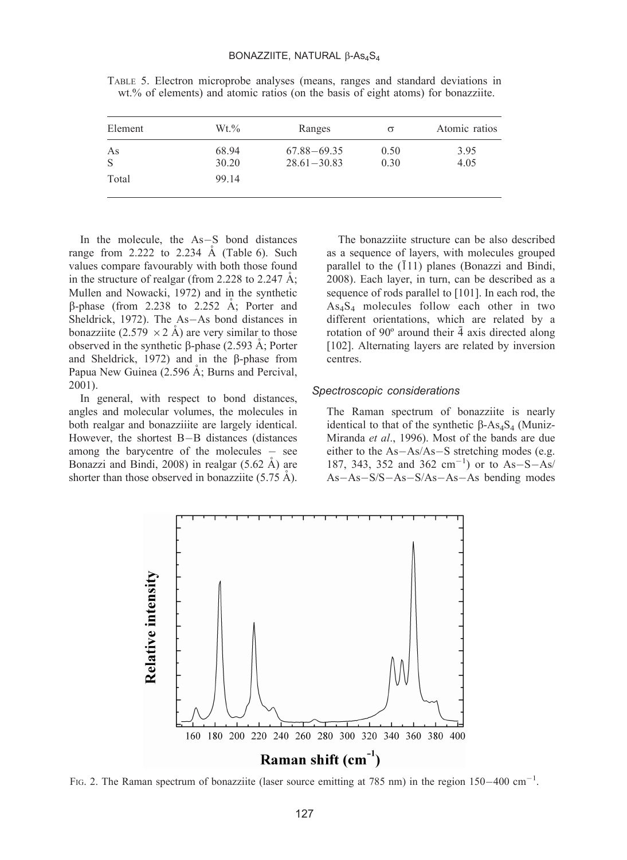| Element | $Wt. \%$       | Ranges                             | $\sigma$     | Atomic ratios |
|---------|----------------|------------------------------------|--------------|---------------|
| As<br>S | 68.94<br>30.20 | $67.88 - 69.35$<br>$28.61 - 30.83$ | 0.50<br>0.30 | 3.95<br>4.05  |
| Total   | 99.14          |                                    |              |               |

TABLE 5. Electron microprobe analyses (means, ranges and standard deviations in wt.% of elements) and atomic ratios (on the basis of eight atoms) for bonazziite.

In the molecule, the As-S bond distances range from 2.222 to 2.234  $\AA$  (Table 6). Such values compare favourably with both those found in the structure of realgar (from 2.228 to 2.247  $\AA$ ; Mullen and Nowacki, 1972) and in the synthetic  $\beta$ -phase (from 2.238 to 2.252 Å; Porter and Sheldrick, 1972). The As-As bond distances in bonazziite (2.579  $\times$  2 Å) are very similar to those observed in the synthetic  $\beta$ -phase (2.593 Å; Porter and Sheldrick,  $1972$ ) and in the  $\beta$ -phase from Papua New Guinea (2.596 Å; Burns and Percival, 2001).

In general, with respect to bond distances, angles and molecular volumes, the molecules in both realgar and bonazziiite are largely identical. However, the shortest B-B distances (distances among the barycentre of the molecules  $\frac{\ }{}$  see Bonazzi and Bindi, 2008) in realgar  $(5.62 \text{ Å})$  are shorter than those observed in bonazziite  $(5.75 \text{ Å})$ .

The bonazziite structure can be also described as a sequence of layers, with molecules grouped parallel to the  $(111)$  planes (Bonazzi and Bindi, 2008). Each layer, in turn, can be described as a sequence of rods parallel to [101]. In each rod, the As4S4 molecules follow each other in two different orientations, which are related by a rotation of  $90^\circ$  around their  $\bar{4}$  axis directed along [102]. Alternating layers are related by inversion centres.

## Spectroscopic considerations

The Raman spectrum of bonazziite is nearly identical to that of the synthetic  $\beta$ -As<sub>4</sub>S<sub>4</sub> (Muniz-Miranda et al., 1996). Most of the bands are due either to the As-As/As-S stretching modes (e.g. 187, 343, 352 and 362  $\text{cm}^{-1}$ ) or to As-S-As/ As-As-S/S-As-S/As-As-As bending modes



FIG. 2. The Raman spectrum of bonazziite (laser source emitting at 785 nm) in the region  $150-400$  cm<sup>-1</sup>.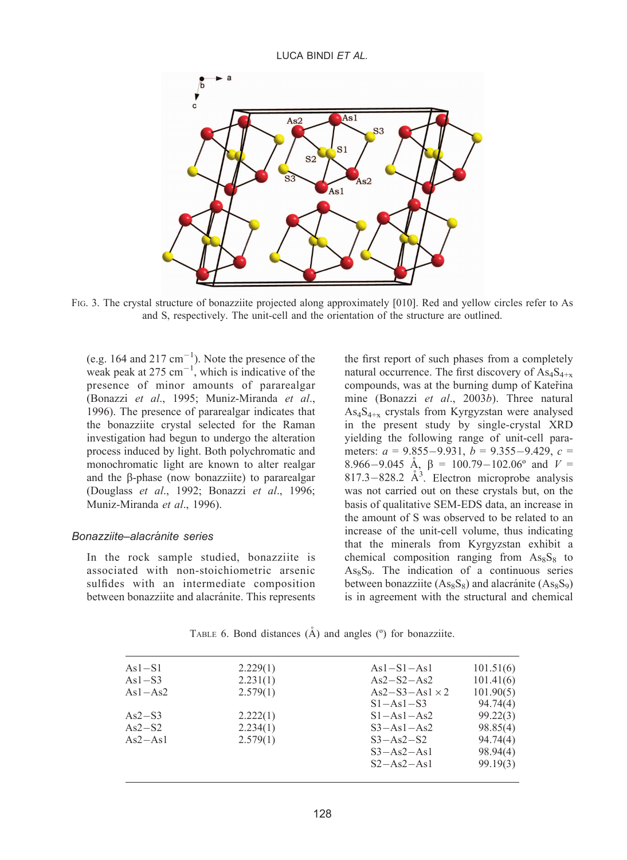

FIG. 3. The crystal structure of bonazziite projected along approximately [010]. Red and yellow circles refer to As and S, respectively. The unit-cell and the orientation of the structure are outlined.

(e.g.  $164$  and  $217 \text{ cm}^{-1}$ ). Note the presence of the weak peak at 275  $cm^{-1}$ , which is indicative of the presence of minor amounts of pararealgar (Bonazzi et al., 1995; Muniz-Miranda et al., 1996). The presence of pararealgar indicates that the bonazziite crystal selected for the Raman investigation had begun to undergo the alteration process induced by light. Both polychromatic and monochromatic light are known to alter realgar and the  $\beta$ -phase (now bonazziite) to pararealgar (Douglass et al., 1992; Bonazzi et al., 1996; Muniz-Miranda et al., 1996).

#### Bonazziite–alacránite series

In the rock sample studied, bonazziite is associated with non-stoichiometric arsenic sulfides with an intermediate composition between bonazziite and alacránite. This represents

the first report of such phases from a completely natural occurrence. The first discovery of  $\text{As}_{4}\text{S}_{4+\text{x}}$ compounds, was at the burning dump of Kater̆ina mine (Bonazzi et al., 2003b). Three natural As4S4+x crystals from Kyrgyzstan were analysed in the present study by single-crystal XRD yielding the following range of unit-cell parameters:  $a = 9.855 - 9.931$ ,  $b = 9.355 - 9.429$ ,  $c =$ 8.966-9.045 Å,  $\beta = 100.79 - 102.06$ ° and  $V =$ 817.3-828.2  $\AA$ <sup>3</sup>. Electron microprobe analysis was not carried out on these crystals but, on the basis of qualitative SEM-EDS data, an increase in the amount of S was observed to be related to an increase of the unit-cell volume, thus indicating that the minerals from Kyrgyzstan exhibit a chemical composition ranging from  $\text{As}_{8}S_{8}$  to  $As_8S_9$ . The indication of a continuous series between bonazziite  $(As_8S_8)$  and alacránite  $(As_8S_9)$ is in agreement with the structural and chemical

| $As1-S1$  | 2.229(1) | $As1-S1-As1$          | 101.51(6) |
|-----------|----------|-----------------------|-----------|
| $As1-S3$  | 2.231(1) | $As2-S2-As2$          | 101.41(6) |
| $As1-As2$ | 2.579(1) | $As2-S3-As1 \times 2$ | 101.90(5) |
|           |          | $S1 - As1 - S3$       | 94.74(4)  |
| $As2-S3$  | 2.222(1) | $S1 - As1 - As2$      | 99.22(3)  |
| $As2-S2$  | 2.234(1) | $S3 - As1 - As2$      | 98.85(4)  |
| $As2-As1$ | 2.579(1) | $S3 - As2-S2$         | 94.74(4)  |
|           |          | $S3 - As2 - As1$      | 98.94(4)  |
|           |          | $S2 - As2 - As1$      | 99.19(3)  |
|           |          |                       |           |

TABLE 6. Bond distances  $(A)$  and angles  $(°)$  for bonazziite.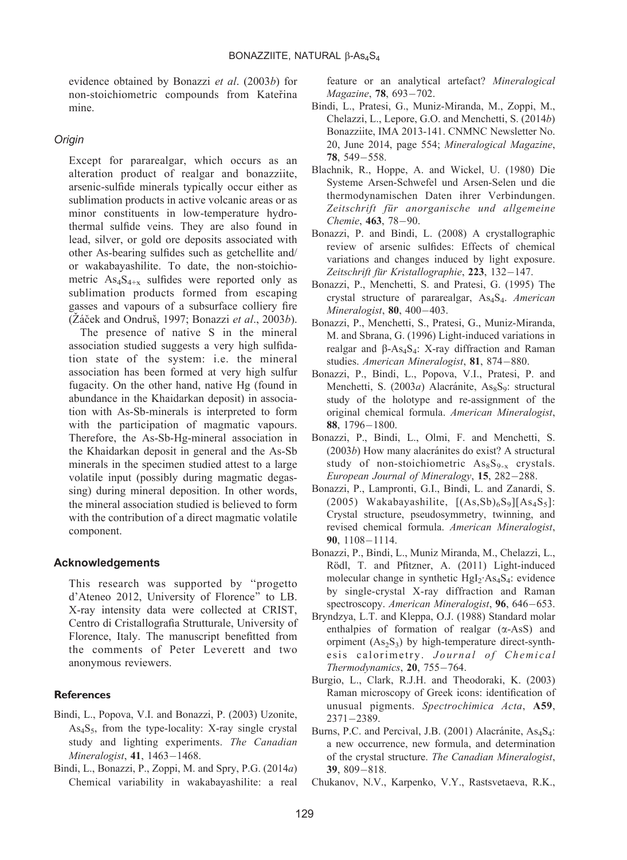evidence obtained by Bonazzi et al. (2003b) for non-stoichiometric compounds from Katerina mine.

### Origin

Except for pararealgar, which occurs as an alteration product of realgar and bonazziite, arsenic-sulfide minerals typically occur either as sublimation products in active volcanic areas or as minor constituents in low-temperature hydrothermal sulfide veins. They are also found in lead, silver, or gold ore deposits associated with other As-bearing sulfides such as getchellite and/ or wakabayashilite. To date, the non-stoichiometric  $\text{As}_{4}S_{4+x}$  sulfides were reported only as sublimation products formed from escaping gasses and vapours of a subsurface colliery fire  $(\check{Z} \check{a} \check{c}ek \check{c}ah$  Ondruš, 1997; Bonazzi et al., 2003b).

The presence of native S in the mineral association studied suggests a very high sulfidation state of the system: i.e. the mineral association has been formed at very high sulfur fugacity. On the other hand, native Hg (found in abundance in the Khaidarkan deposit) in association with As-Sb-minerals is interpreted to form with the participation of magmatic vapours. Therefore, the As-Sb-Hg-mineral association in the Khaidarkan deposit in general and the As-Sb minerals in the specimen studied attest to a large volatile input (possibly during magmatic degassing) during mineral deposition. In other words, the mineral association studied is believed to form with the contribution of a direct magmatic volatile component.

#### Acknowledgements

This research was supported by ''progetto d'Ateneo 2012, University of Florence'' to LB. X-ray intensity data were collected at CRIST, Centro di Cristallografia Strutturale, University of Florence, Italy. The manuscript benefitted from the comments of Peter Leverett and two anonymous reviewers.

#### **References**

- Bindi, L., Popova, V.I. and Bonazzi, P. (2003) Uzonite, As4S5, from the type-locality: X-ray single crystal study and lighting experiments. The Canadian Mineralogist, **41**, 1463–1468.
- Bindi, L., Bonazzi, P., Zoppi, M. and Spry, P.G. (2014a) Chemical variability in wakabayashilite: a real

feature or an analytical artefact? Mineralogical Magazine, 78, 693-702.

- Bindi, L., Pratesi, G., Muniz-Miranda, M., Zoppi, M., Chelazzi, L., Lepore, G.O. and Menchetti, S. (2014b) Bonazziite, IMA 2013-141. CNMNC Newsletter No. 20, June 2014, page 554; Mineralogical Magazine, 78, 549-558.
- Blachnik, R., Hoppe, A. and Wickel, U. (1980) Die Systeme Arsen-Schwefel und Arsen-Selen und die thermodynamischen Daten ihrer Verbindungen. Zeitschrift für anorganische und allgemeine Chemie, 463, 78-90.
- Bonazzi, P. and Bindi, L. (2008) A crystallographic review of arsenic sulfides: Effects of chemical variations and changes induced by light exposure. Zeitschrift für Kristallographie, 223, 132-147.
- Bonazzi, P., Menchetti, S. and Pratesi, G. (1995) The crystal structure of pararealgar, As<sub>4</sub>S<sub>4</sub>. American Mineralogist, **80**, 400–403.
- Bonazzi, P., Menchetti, S., Pratesi, G., Muniz-Miranda, M. and Sbrana, G. (1996) Light-induced variations in realgar and  $\beta$ -As<sub>4</sub>S<sub>4</sub>: X-ray diffraction and Raman studies. American Mineralogist, 81, 874-880.
- Bonazzi, P., Bindi, L., Popova, V.I., Pratesi, P. and Menchetti, S. (2003a) Alacránite, As<sub>8</sub>S<sub>9</sub>: structural study of the holotype and re-assignment of the original chemical formula. American Mineralogist, 88, 1796-1800.
- Bonazzi, P., Bindi, L., Olmi, F. and Menchetti, S.  $(2003b)$  How many alacránites do exist? A structural study of non-stoichiometric  $\text{As}_{8}\text{S}_{9-x}$  crystals. European Journal of Mineralogy, 15, 282-288.
- Bonazzi, P., Lampronti, G.I., Bindi, L. and Zanardi, S. (2005) Wakabayashilite,  $[(As, Sb)_{6}S_{9}][As_{4}S_{5}]$ : Crystal structure, pseudosymmetry, twinning, and revised chemical formula. American Mineralogist, 90, 1108-1114.
- Bonazzi, P., Bindi, L., Muniz Miranda, M., Chelazzi, L., Rödl, T. and Pfitzner, A. (2011) Light-induced molecular change in synthetic  $HgI_2$ ·As<sub>4</sub>S<sub>4</sub>: evidence by single-crystal X-ray diffraction and Raman spectroscopy. American Mineralogist, 96, 646-653.
- Bryndzya, L.T. and Kleppa, O.J. (1988) Standard molar enthalpies of formation of realgar  $(\alpha$ -AsS) and orpiment  $(As_2S_3)$  by high-temperature direct-synthesis calorimetry. Journal of Chemical Thermodynamics, 20, 755-764.
- Burgio, L., Clark, R.J.H. and Theodoraki, K. (2003) Raman microscopy of Greek icons: identification of unusual pigments. Spectrochimica Acta, A59, 2371-2389.
- Burns, P.C. and Percival, J.B. (2001) Alacránite, As<sub>4</sub>S<sub>4</sub>: a new occurrence, new formula, and determination of the crystal structure. The Canadian Mineralogist, 39, 809-818.
- Chukanov, N.V., Karpenko, V.Y., Rastsvetaeva, R.K.,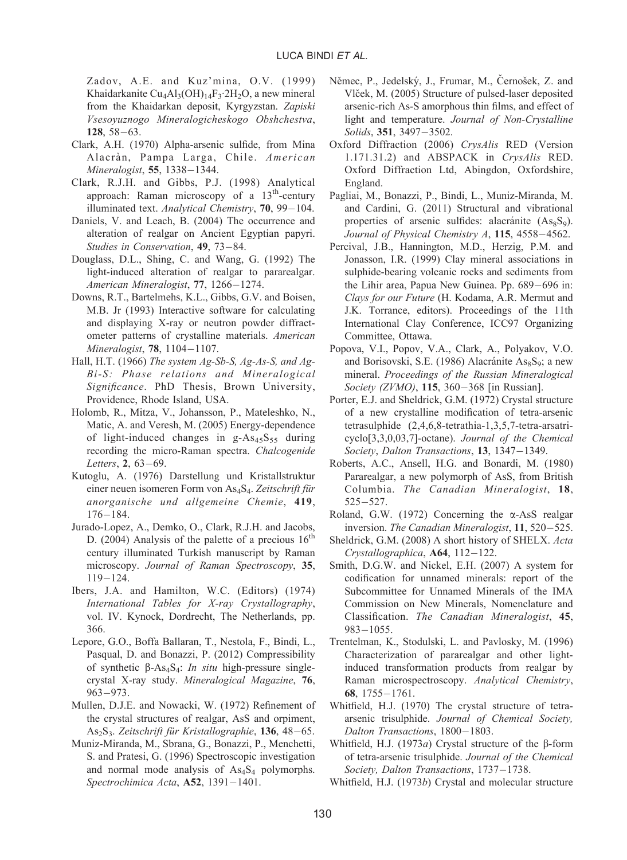Zadov, A.E. and Kuz'mina, O.V. (1999) Khaidarkanite Cu<sub>4</sub>Al<sub>3</sub>(OH)<sub>14</sub>F<sub>3</sub>·2H<sub>2</sub>O, a new mineral from the Khaidarkan deposit, Kyrgyzstan. Zapiski Vsesoyuznogo Mineralogicheskogo Obshchestva,  $128, 58 - 63.$ 

- Clark, A.H. (1970) Alpha-arsenic sulfide, from Mina Alacràn, Pampa Larga, Chile. American Mineralogist, **55**, 1338–1344.
- Clark, R.J.H. and Gibbs, P.J. (1998) Analytical approach: Raman microscopy of a 13<sup>th</sup>-century illuminated text. Analytical Chemistry, **70**, 99–104.
- Daniels, V. and Leach, B. (2004) The occurrence and alteration of realgar on Ancient Egyptian papyri. Studies in Conservation, 49, 73-84.
- Douglass, D.L., Shing, C. and Wang, G. (1992) The light-induced alteration of realgar to pararealgar. American Mineralogist, 77, 1266-1274.
- Downs, R.T., Bartelmehs, K.L., Gibbs, G.V. and Boisen, M.B. Jr (1993) Interactive software for calculating and displaying X-ray or neutron powder diffractometer patterns of crystalline materials. American Mineralogist, **78**, 1104–1107.
- Hall, H.T. (1966) The system Ag-Sb-S, Ag-As-S, and Ag-Bi-S: Phase relations and Mineralogical Significance. PhD Thesis, Brown University, Providence, Rhode Island, USA.
- Holomb, R., Mitza, V., Johansson, P., Mateleshko, N., Matic, A. and Veresh, M. (2005) Energy-dependence of light-induced changes in  $g-As_{45}S_{55}$  during recording the micro-Raman spectra. Chalcogenide Letters, 2, 63–69.
- Kutoglu, A. (1976) Darstellung und Kristallstruktur einer neuen isomeren Form von As<sub>4</sub>S<sub>4</sub>. Zeitschrift für anorganische und allgemeine Chemie, 419, 176-184.
- Jurado-Lopez, A., Demko, O., Clark, R.J.H. and Jacobs, D. (2004) Analysis of the palette of a precious  $16<sup>th</sup>$ century illuminated Turkish manuscript by Raman microscopy. Journal of Raman Spectroscopy, 35, 119-124.
- Ibers, J.A. and Hamilton, W.C. (Editors) (1974) International Tables for X-ray Crystallography, vol. IV. Kynock, Dordrecht, The Netherlands, pp. 366.
- Lepore, G.O., Boffa Ballaran, T., Nestola, F., Bindi, L., Pasqual, D. and Bonazzi, P. (2012) Compressibility of synthetic  $\beta$ -As<sub>4</sub>S<sub>4</sub>: *In situ* high-pressure singlecrystal X-ray study. Mineralogical Magazine, 76, 963-973.
- Mullen, D.J.E. and Nowacki, W. (1972) Refinement of the crystal structures of realgar, AsS and orpiment, As<sub>2</sub>S<sub>3</sub>. Zeitschrift für Kristallographie, 136, 48–65.
- Muniz-Miranda, M., Sbrana, G., Bonazzi, P., Menchetti, S. and Pratesi, G. (1996) Spectroscopic investigation and normal mode analysis of  $As<sub>4</sub>S<sub>4</sub>$  polymorphs. Spectrochimica Acta, **A52**, 1391-1401.
- Němec, P., Jedelský, J., Frumar, M., Černošek, Z. and Vlček, M. (2005) Structure of pulsed-laser deposited arsenic-rich As-S amorphous thin films, and effect of light and temperature. Journal of Non-Crystalline Solids, **351**, 3497–3502.
- Oxford Diffraction (2006) CrysAlis RED (Version 1.171.31.2) and ABSPACK in CrysAlis RED. Oxford Diffraction Ltd, Abingdon, Oxfordshire, England.
- Pagliai, M., Bonazzi, P., Bindi, L., Muniz-Miranda, M. and Cardini, G. (2011) Structural and vibrational properties of arsenic sulfides: alacránite  $(As_8S_9)$ . Journal of Physical Chemistry A, 115, 4558-4562.
- Percival, J.B., Hannington, M.D., Herzig, P.M. and Jonasson, I.R. (1999) Clay mineral associations in sulphide-bearing volcanic rocks and sediments from the Lihir area, Papua New Guinea. Pp. 689-696 in: Clays for our Future (H. Kodama, A.R. Mermut and J.K. Torrance, editors). Proceedings of the 11th International Clay Conference, ICC97 Organizing Committee, Ottawa.
- Popova, V.I., Popov, V.A., Clark, A., Polyakov, V.O. and Borisovski, S.E. (1986) Alacránite  $\text{As}_8\text{S}_9$ ; a new mineral. Proceedings of the Russian Mineralogical Society (ZVMO), 115, 360–368 [in Russian].
- Porter, E.J. and Sheldrick, G.M. (1972) Crystal structure of a new crystalline modification of tetra-arsenic tetrasulphide (2,4,6,8-tetrathia-1,3,5,7-tetra-arsatricyclo[3,3,0,03,7]-octane). Journal of the Chemical Society, Dalton Transactions, 13, 1347-1349.
- Roberts, A.C., Ansell, H.G. and Bonardi, M. (1980) Pararealgar, a new polymorph of AsS, from British Columbia. The Canadian Mineralogist, 18, 525-527.
- Roland, G.W.  $(1972)$  Concerning the  $\alpha$ -AsS realgar inversion. The Canadian Mineralogist, 11, 520-525.
- Sheldrick, G.M. (2008) A short history of SHELX. Acta Crystallographica, A64, 112-122.
- Smith, D.G.W. and Nickel, E.H. (2007) A system for codification for unnamed minerals: report of the Subcommittee for Unnamed Minerals of the IMA Commission on New Minerals, Nomenclature and Classification. The Canadian Mineralogist, 45,  $983 - 1055$ .
- Trentelman, K., Stodulski, L. and Pavlosky, M. (1996) Characterization of pararealgar and other lightinduced transformation products from realgar by Raman microspectroscopy. Analytical Chemistry, 68, 1755-1761.
- Whitfield, H.J. (1970) The crystal structure of tetraarsenic trisulphide. Journal of Chemical Society, Dalton Transactions, 1800-1803.
- Whitfield, H.J. (1973 $a$ ) Crystal structure of the  $\beta$ -form of tetra-arsenic trisulphide. Journal of the Chemical Society, Dalton Transactions, 1737-1738.
- Whitfield, H.J. (1973b) Crystal and molecular structure